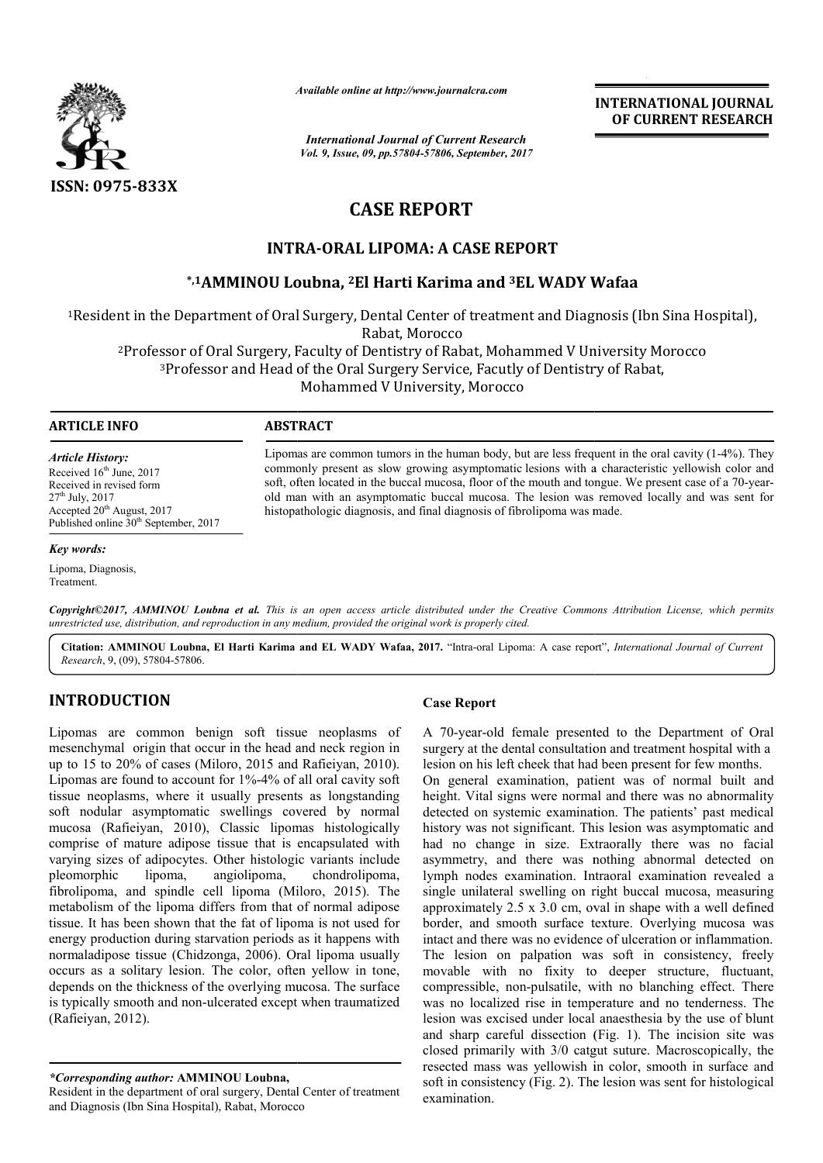

*Available online at http://www.journalcra.com*

*International Journal of Current Research Vol. 9, Issue, 09, pp.57804-57806, September, 2017* **INTERNATIONAL JOURNAL OF CURRENT RESEARCH**

# **CASE REPORT**

## **INTRA INTRA-ORAL LIPOMA: A CASE REPORT**

## **\*,1AMMINOU Loubna, AMMINOU 2El Harti Karima and 3EL WADY Wafaa EL**

<sup>1</sup>Resident in the Department of Oral Surgery, Dental Center of treatment and Diagnosis (Ibn Sina Hospital), Rabat, Morocco

<sup>2</sup>Professor of Oral Surgery, Faculty of Dentistry of Rabat, Mohammed V University Morocco<br><sup>3</sup>Professor and Head of the Oral Surgery Service, Facutly of Dentistry of Rabat, 3Professor and Head of the Oral Surgery Service, Facutly of Dentistry of Rabat,

Mohammed V University, Morocco

#### **ARTICLE INFO ABSTRACT**

*Article History:* Received 16<sup>th</sup> June, 2017 Received in revised form  $27<sup>th</sup>$  July,  $2017$ Accepted 20<sup>th</sup> August, 2017 Published online 30<sup>th</sup> September, 2017

#### *Key words:*

Lipoma, Diagnosis, Treatment.

Lipomas are common tumors in the human body, but are less frequent in the oral cavity  $(1-4\%)$ . They commonly present as slow growing asymptomatic lesions with a characteristic yellowish color and commonly present as slow growing asymptomatic lesions with a characteristic yellowish color and soft, often located in the buccal mucosa, floor of the mouth and tongue. We present case of a 70-yearold man with an asymptomatic buccal mucosa. The lesion was removed locally and was sent for histopathologic diagnosis, and final diagnosis of fibrolipoma was made. histopathologic diagnosis, and final diagnosis of fibrolipoma was made.

Copyright©2017, AMMINOU Loubna et al. This is an open access article distributed under the Creative Commons Attribution License, which permits unrestricted use, distribution, and reproduction in any medium, provided the original work is properly cited.

Citation: AMMINOU Loubna, El Harti Karima and EL WADY Wafaa, 2017. "Intra-oral Lipoma: A case report", *International Journal of Current Research*, 9, (09), 57804-57806.

### **INTRODUCTION**

Lipomas are common benign soft tissue neoplasms of mesenchymal origin that occur in the head and neck region in up to  $15$  to  $20\%$  of cases (Miloro,  $2015$  and Rafieiyan,  $2010$ ). Lipomas are found to account for 1%-4% of all oral cavity soft tissue neoplasms, where it usually presents as longstanding soft nodular asymptomatic swellings covered by normal mucosa (Rafieiyan, 2010), Classic lipomas histologically comprise of mature adipose tissue that is encapsulated with varying sizes of adipocytes. Other histologic variants include<br>pleomorphic lipoma. angiolipoma. chondrolipoma. lipoma, angiolipoma, chondrolipoma, fibrolipoma, and spindle cell lipoma (Miloro, 2015). The metabolism of the lipoma differs from that of normal adipose tissue. It has been shown that the fat of lipoma is not used for energy production during starvation periods as it happens with normaladipose tissue (Chidzonga, 2006). Oral lipoma usually occurs as a solitary lesion. The color, often yellow in tone, depends on the thickness of the overlying mucosa. The surface is typically smooth and non-ulcerated except when traumatized (Rafieiyan, 2012). 4% of all oral cavity soft<br>presents as longstanding<br>gs covered by normal<br>lipomas histologically<br>hat is encapsulated with<br>stologic variants include<br>oma, chondrolipoma,<br>aa (Miloro, 2015). The **Case Report**<br>
cur in the head and neck region in<br>
filoro, 2015 and Rafieiyan, 2010). Iesion on his<br>
at for 1%-4% of all oral cavity soft on general<br>
usually presents as longstanding height. Vital<br>
c swellings covered by n

*\*Corresponding author:* **AMMINOU Loubna,**

Resident in the department of oral surgery, Dental Center of treatment and Diagnosis (Ibn Sina Hospital), Rabat, Morocco

A 70-year-old female presented to the Department of Oral A 70-year-old female presented to the Department of Oral surgery at the dental consultation and treatment hospital with a lesion on his left cheek that had been present for few months.

On general examination, patient was of normal built and height. Vital signs were normal and there was no abnormality detected on systemic examination. The patients' past medical history was not significant. This lesion was asymptomatic and had no change in size. Extraorally there was no facial asymmetry, and there was nothing abnormal detected on lymph nodes examination. Intraoral examination revealed a single unilateral swelling on right buccal mucosa, measuring approximately 2.5 x 3.0 cm, oval in shape with a well defined border, and smooth surface texture. Overlying mucosa was intact and there was no evidence of ulceration or inflammation. The lesion on palpation was soft in consistency, freely movable with no fixity to deeper structure, fluctuant, compressible, non-pulsatile, with no blanching effect. There compressible, non-pulsatile, with no blanching effect. There was no localized rise in temperature and no tenderness. The lesion was excised under local anaesthesia by the use of blunt and sharp careful dissection (Fig. 1). The incision site was closed primarily with 3/0 catgut suture. Macroscopically, the resected mass was yellowish in color, smooth in surface and soft in consistency (Fig. 2). The lesion was sent for histologica examination. nat had been present for few months.<br>
In patient was of normal built and<br>
normal and there was no abnormality gnificant. This lesion was asymptomatic and<br>in size. Extraorally there was no facial<br>there was nothing abnormal detected on<br>mination. Intraoral examination revealed a<br>welling on right buccal mucosa, measuring<br>x 3.0 cm, ova th 3/0 catgut suture. Macroscopically, the yellowish in color, smooth in surface and Fig. 2). The lesion was sent for histological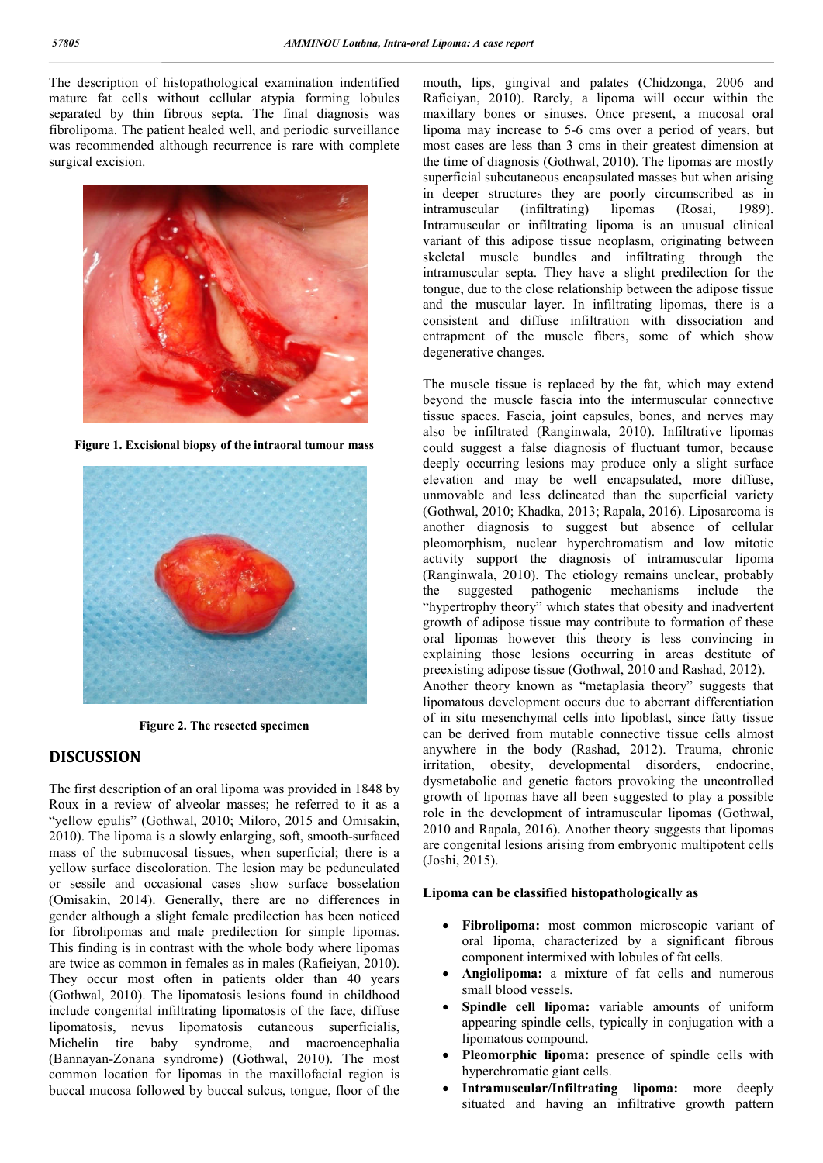The description of histopathological examination indentified mature fat cells without cellular atypia forming lobules separated by thin fibrous septa. The final diagnosis was fibrolipoma. The patient healed well, and periodic surveillance was recommended although recurrence is rare with complete surgical excision.



**Figure 1. Excisional biopsy of the intraoral tumour mass**



**Figure 2. The resected specimen**

### **DISCUSSION**

The first description of an oral lipoma was provided in 1848 by Roux in a review of alveolar masses; he referred to it as a "yellow epulis" (Gothwal, 2010; Miloro, 2015 and Omisakin, 2010). The lipoma is a slowly enlarging, soft, smooth-surfaced mass of the submucosal tissues, when superficial; there is a yellow surface discoloration. The lesion may be pedunculated or sessile and occasional cases show surface bosselation (Omisakin, 2014). Generally, there are no differences in gender although a slight female predilection has been noticed for fibrolipomas and male predilection for simple lipomas. This finding is in contrast with the whole body where lipomas are twice as common in females as in males (Rafieiyan, 2010). They occur most often in patients older than 40 years (Gothwal, 2010). The lipomatosis lesions found in childhood include congenital infiltrating lipomatosis of the face, diffuse lipomatosis, nevus lipomatosis cutaneous superficialis, Michelin tire baby syndrome, and macroencephalia (Bannayan-Zonana syndrome) (Gothwal, 2010). The most common location for lipomas in the maxillofacial region is buccal mucosa followed by buccal sulcus, tongue, floor of the mouth, lips, gingival and palates (Chidzonga, 2006 and Rafieiyan, 2010). Rarely, a lipoma will occur within the maxillary bones or sinuses. Once present, a mucosal oral lipoma may increase to 5-6 cms over a period of years, but most cases are less than 3 cms in their greatest dimension at the time of diagnosis (Gothwal, 2010). The lipomas are mostly superficial subcutaneous encapsulated masses but when arising in deeper structures they are poorly circumscribed as in intramuscular (infiltrating) lipomas (Rosai, 1989). Intramuscular or infiltrating lipoma is an unusual clinical variant of this adipose tissue neoplasm, originating between skeletal muscle bundles and infiltrating through the intramuscular septa. They have a slight predilection for the tongue, due to the close relationship between the adipose tissue and the muscular layer. In infiltrating lipomas, there is a consistent and diffuse infiltration with dissociation and entrapment of the muscle fibers, some of which show degenerative changes.

The muscle tissue is replaced by the fat, which may extend beyond the muscle fascia into the intermuscular connective tissue spaces. Fascia, joint capsules, bones, and nerves may also be infiltrated (Ranginwala, 2010). Infiltrative lipomas could suggest a false diagnosis of fluctuant tumor, because deeply occurring lesions may produce only a slight surface elevation and may be well encapsulated, more diffuse, unmovable and less delineated than the superficial variety (Gothwal, 2010; Khadka, 2013; Rapala, 2016). Liposarcoma is another diagnosis to suggest but absence of cellular pleomorphism, nuclear hyperchromatism and low mitotic activity support the diagnosis of intramuscular lipoma (Ranginwala, 2010). The etiology remains unclear, probably<br>the suggested pathogenic mechanisms include the suggested pathogenic mechanisms include the "hypertrophy theory" which states that obesity and inadvertent growth of adipose tissue may contribute to formation of these oral lipomas however this theory is less convincing in explaining those lesions occurring in areas destitute of preexisting adipose tissue (Gothwal, 2010 and Rashad, 2012). Another theory known as "metaplasia theory" suggests that lipomatous development occurs due to aberrant differentiation of in situ mesenchymal cells into lipoblast, since fatty tissue can be derived from mutable connective tissue cells almost anywhere in the body (Rashad, 2012). Trauma, chronic irritation, obesity, developmental disorders, endocrine, dysmetabolic and genetic factors provoking the uncontrolled growth of lipomas have all been suggested to play a possible role in the development of intramuscular lipomas (Gothwal, 2010 and Rapala, 2016). Another theory suggests that lipomas are congenital lesions arising from embryonic multipotent cells (Joshi, 2015).

#### **Lipoma can be classified histopathologically as**

- **Fibrolipoma:** most common microscopic variant of oral lipoma, characterized by a significant fibrous component intermixed with lobules of fat cells.
- **Angiolipoma:** a mixture of fat cells and numerous small blood vessels.
- **Spindle cell lipoma:** variable amounts of uniform appearing spindle cells, typically in conjugation with a lipomatous compound.
- **Pleomorphic lipoma:** presence of spindle cells with hyperchromatic giant cells.
- **Intramuscular/Infiltrating lipoma:** more deeply situated and having an infiltrative growth pattern